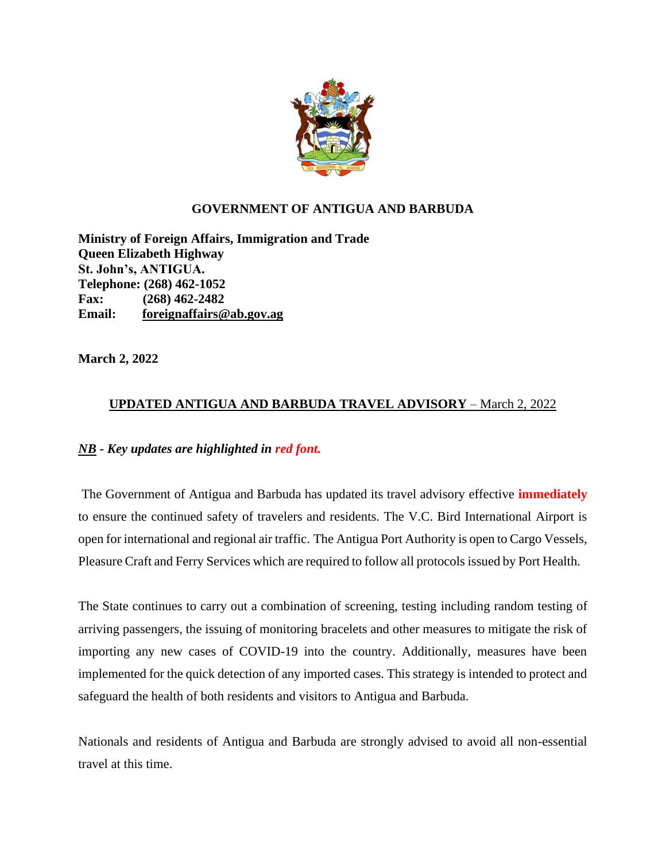

## **GOVERNMENT OF ANTIGUA AND BARBUDA**

**Ministry of Foreign Affairs, Immigration and Trade Queen Elizabeth Highway St. John's, ANTIGUA. Telephone: (268) 462-1052 Fax: (268) 462-2482 Email: foreignaffairs@ab.gov.ag**

**March 2, 2022**

## **UPDATED ANTIGUA AND BARBUDA TRAVEL ADVISORY** – March 2, 2022

## *NB* **-** *Key updates are highlighted in red font.*

The Government of Antigua and Barbuda has updated its travel advisory effective **immediately** to ensure the continued safety of travelers and residents. The V.C. Bird International Airport is open for international and regional air traffic. The Antigua Port Authority is open to Cargo Vessels, Pleasure Craft and Ferry Services which are required to follow all protocols issued by Port Health.

The State continues to carry out a combination of screening, testing including random testing of arriving passengers, the issuing of monitoring bracelets and other measures to mitigate the risk of importing any new cases of COVID-19 into the country. Additionally, measures have been implemented for the quick detection of any imported cases. This strategy is intended to protect and safeguard the health of both residents and visitors to Antigua and Barbuda.

Nationals and residents of Antigua and Barbuda are strongly advised to avoid all non-essential travel at this time.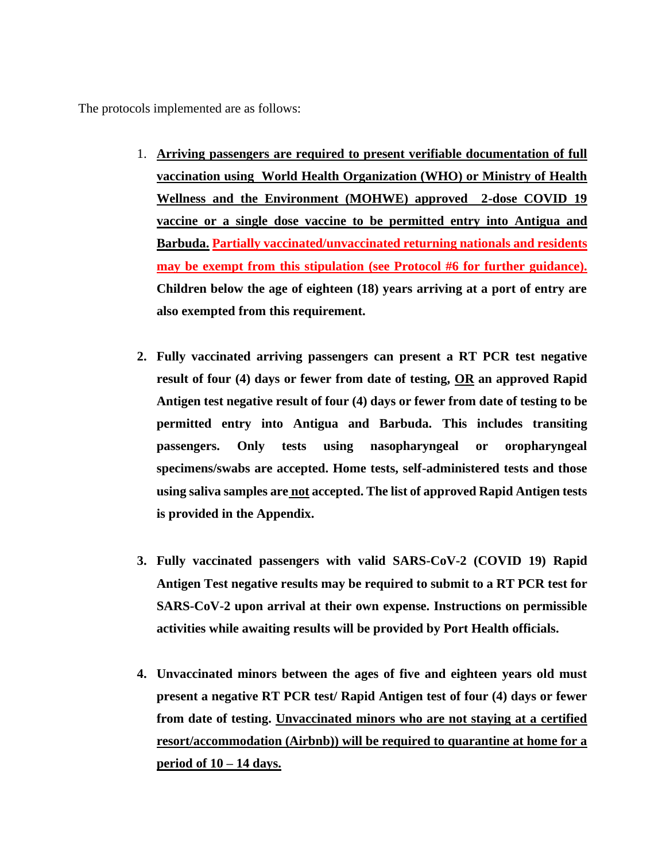The protocols implemented are as follows:

- 1. **Arriving passengers are required to present verifiable documentation of full vaccination using World Health Organization (WHO) or Ministry of Health Wellness and the Environment (MOHWE) approved 2-dose COVID 19 vaccine or a single dose vaccine to be permitted entry into Antigua and Barbuda. Partially vaccinated/unvaccinated returning nationals and residents may be exempt from this stipulation (see Protocol #6 for further guidance). Children below the age of eighteen (18) years arriving at a port of entry are also exempted from this requirement.**
- **2. Fully vaccinated arriving passengers can present a RT PCR test negative result of four (4) days or fewer from date of testing, OR an approved Rapid Antigen test negative result of four (4) days or fewer from date of testing to be permitted entry into Antigua and Barbuda. This includes transiting passengers. Only tests using nasopharyngeal or oropharyngeal specimens/swabs are accepted. Home tests, self-administered tests and those using saliva samples are not accepted. The list of approved Rapid Antigen tests is provided in the Appendix.**
- **3. Fully vaccinated passengers with valid SARS-CoV-2 (COVID 19) Rapid Antigen Test negative results may be required to submit to a RT PCR test for SARS-CoV-2 upon arrival at their own expense. Instructions on permissible activities while awaiting results will be provided by Port Health officials.**
- **4. Unvaccinated minors between the ages of five and eighteen years old must present a negative RT PCR test/ Rapid Antigen test of four (4) days or fewer from date of testing. Unvaccinated minors who are not staying at a certified resort/accommodation (Airbnb)) will be required to quarantine at home for a period of 10 – 14 days.**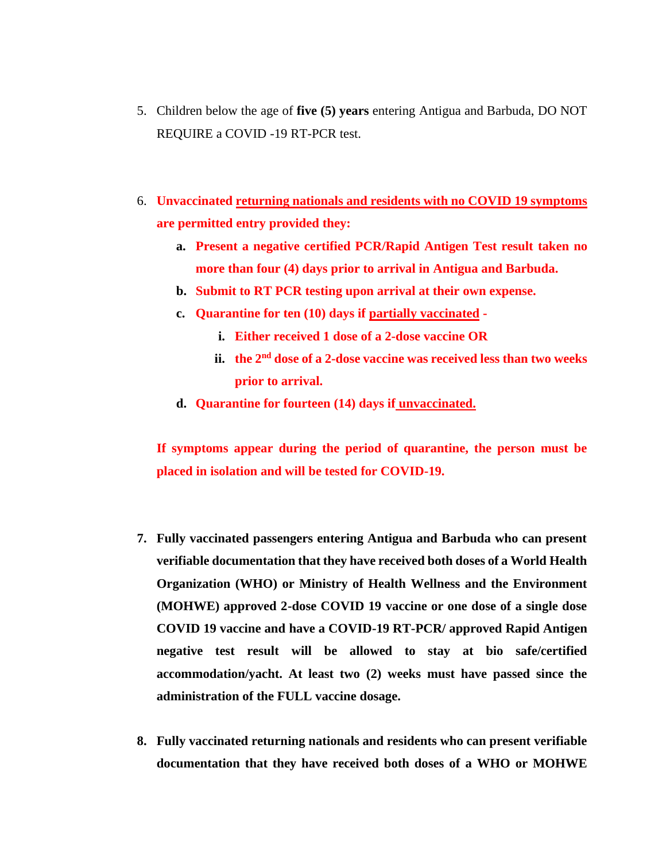- 5. Children below the age of **five (5) years** entering Antigua and Barbuda, DO NOT REQUIRE a COVID -19 RT-PCR test.
- 6. **Unvaccinated returning nationals and residents with no COVID 19 symptoms are permitted entry provided they:**
	- **a. Present a negative certified PCR/Rapid Antigen Test result taken no more than four (4) days prior to arrival in Antigua and Barbuda.**
	- **b. Submit to RT PCR testing upon arrival at their own expense.**
	- **c. Quarantine for ten (10) days if partially vaccinated** 
		- **i. Either received 1 dose of a 2-dose vaccine OR**
		- **ii. the 2nd dose of a 2-dose vaccine was received less than two weeks prior to arrival.**
	- **d. Quarantine for fourteen (14) days if unvaccinated.**

**If symptoms appear during the period of quarantine, the person must be placed in isolation and will be tested for COVID-19.**

- **7. Fully vaccinated passengers entering Antigua and Barbuda who can present verifiable documentation that they have received both doses of a World Health Organization (WHO) or Ministry of Health Wellness and the Environment (MOHWE) approved 2-dose COVID 19 vaccine or one dose of a single dose COVID 19 vaccine and have a COVID-19 RT-PCR/ approved Rapid Antigen negative test result will be allowed to stay at bio safe/certified accommodation/yacht. At least two (2) weeks must have passed since the administration of the FULL vaccine dosage.**
- **8. Fully vaccinated returning nationals and residents who can present verifiable documentation that they have received both doses of a WHO or MOHWE**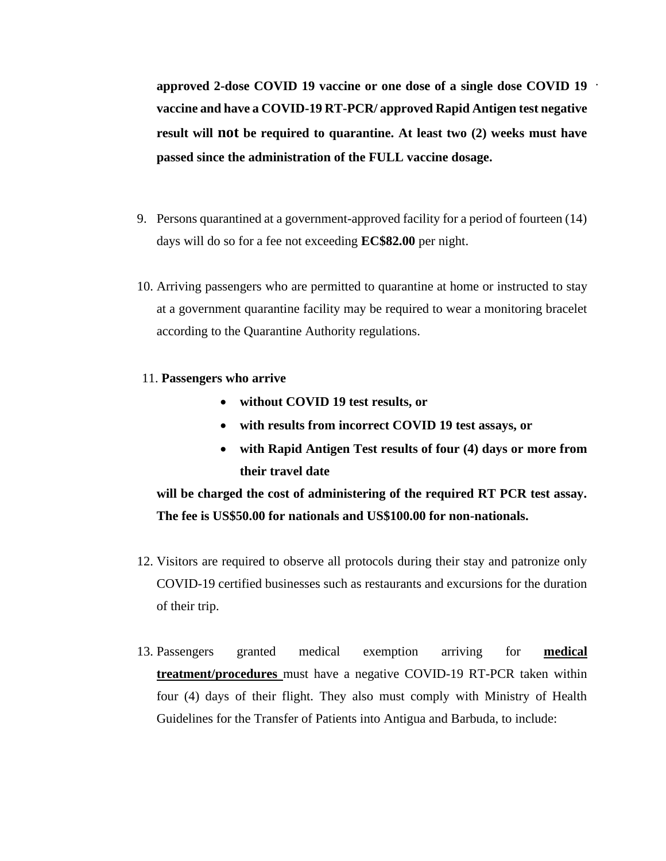**approved 2-dose COVID 19 vaccine or one dose of a single dose COVID 19 vaccine and have a COVID-19 RT-PCR/ approved Rapid Antigen test negative result will not be required to quarantine. At least two (2) weeks must have passed since the administration of the FULL vaccine dosage.**

- 9. Persons quarantined at a government-approved facility for a period of fourteen (14) days will do so for a fee not exceeding **EC\$82.00** per night.
- 10. Arriving passengers who are permitted to quarantine at home or instructed to stay at a government quarantine facility may be required to wear a monitoring bracelet according to the Quarantine Authority regulations.
- 11. **Passengers who arrive** 
	- **without COVID 19 test results, or**
	- **with results from incorrect COVID 19 test assays, or**
	- **with Rapid Antigen Test results of four (4) days or more from their travel date**

**will be charged the cost of administering of the required RT PCR test assay. The fee is US\$50.00 for nationals and US\$100.00 for non-nationals.**

- 12. Visitors are required to observe all protocols during their stay and patronize only COVID-19 certified businesses such as restaurants and excursions for the duration of their trip.
- 13. Passengers granted medical exemption arriving for **medical treatment/procedures** must have a negative COVID-19 RT-PCR taken within four (4) days of their flight. They also must comply with Ministry of Health Guidelines for the Transfer of Patients into Antigua and Barbuda, to include: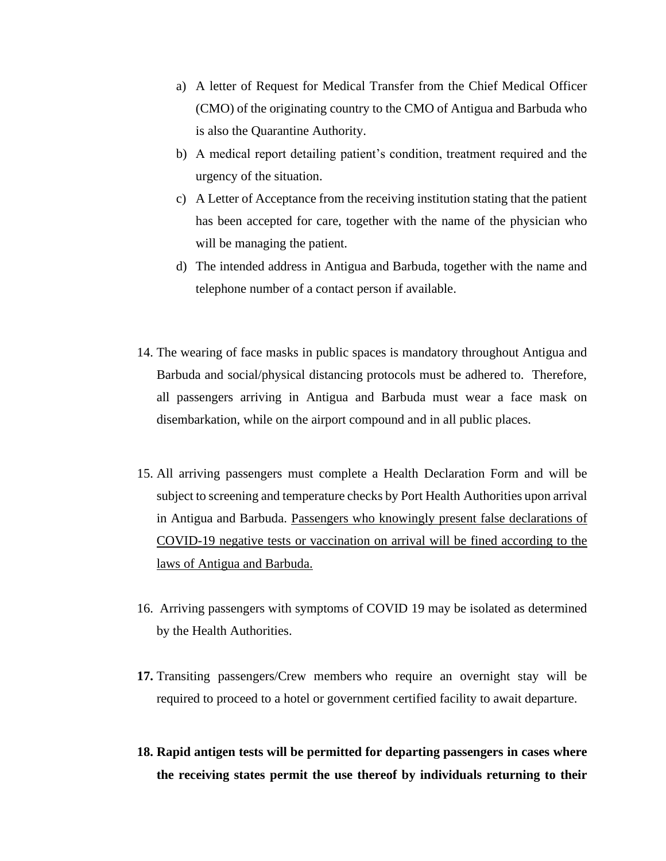- a) A letter of Request for Medical Transfer from the Chief Medical Officer (CMO) of the originating country to the CMO of Antigua and Barbuda who is also the Quarantine Authority.
- b) A medical report detailing patient's condition, treatment required and the urgency of the situation.
- c) A Letter of Acceptance from the receiving institution stating that the patient has been accepted for care, together with the name of the physician who will be managing the patient.
- d) The intended address in Antigua and Barbuda, together with the name and telephone number of a contact person if available.
- 14. The wearing of face masks in public spaces is mandatory throughout Antigua and Barbuda and social/physical distancing protocols must be adhered to. Therefore, all passengers arriving in Antigua and Barbuda must wear a face mask on disembarkation, while on the airport compound and in all public places.
- 15. All arriving passengers must complete a Health Declaration Form and will be subject to screening and temperature checks by Port Health Authorities upon arrival in Antigua and Barbuda. Passengers who knowingly present false declarations of COVID-19 negative tests or vaccination on arrival will be fined according to the laws of Antigua and Barbuda.
- 16. Arriving passengers with symptoms of COVID 19 may be isolated as determined by the Health Authorities.
- **17.** Transiting passengers/Crew members who require an overnight stay will be required to proceed to a hotel or government certified facility to await departure.
- **18. Rapid antigen tests will be permitted for departing passengers in cases where the receiving states permit the use thereof by individuals returning to their**